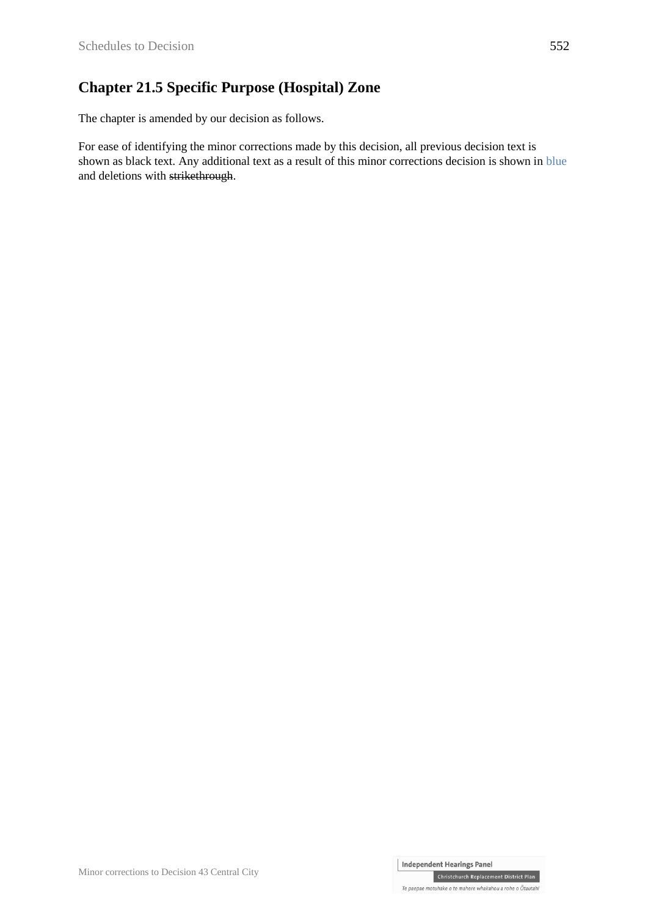### **Chapter 21.5 Specific Purpose (Hospital) Zone**

The chapter is amended by our decision as follows.

For ease of identifying the minor corrections made by this decision, all previous decision text is shown as black text. Any additional text as a result of this minor corrections decision is shown in blue and deletions with strikethrough.

Christchurch Replacement District Plan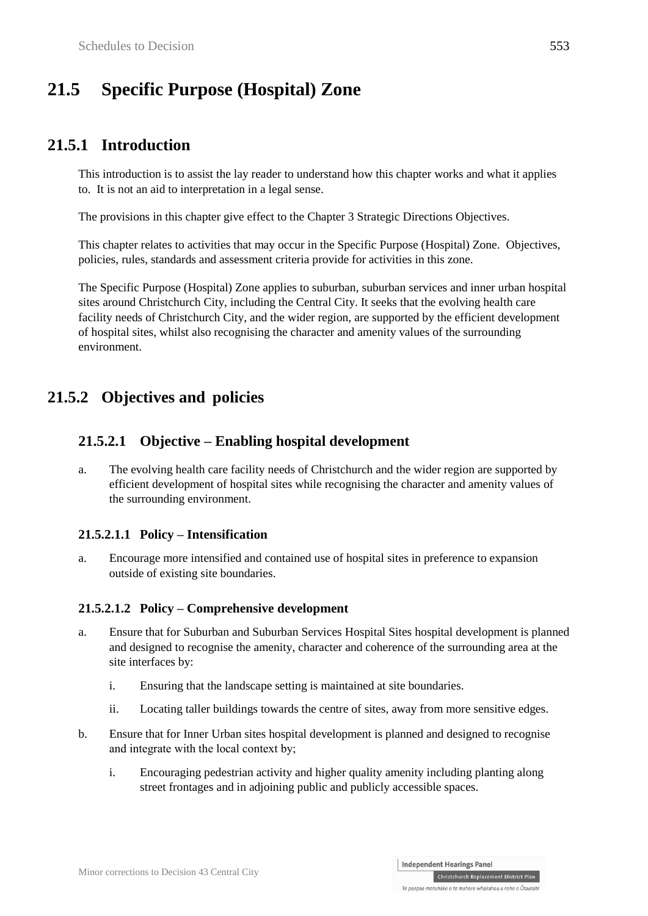# **21.5 Specific Purpose (Hospital) Zone**

## **21.5.1 Introduction**

This introduction is to assist the lay reader to understand how this chapter works and what it applies to. It is not an aid to interpretation in a legal sense.

The provisions in this chapter give effect to the Chapter 3 Strategic Directions Objectives.

This chapter relates to activities that may occur in the Specific Purpose (Hospital) Zone. Objectives, policies, rules, standards and assessment criteria provide for activities in this zone.

The Specific Purpose (Hospital) Zone applies to suburban, suburban services and inner urban hospital sites around Christchurch City, including the Central City. It seeks that the evolving health care facility needs of Christchurch City, and the wider region, are supported by the efficient development of hospital sites, whilst also recognising the character and amenity values of the surrounding environment.

## **21.5.2 Objectives and policies**

### **21.5.2.1 Objective – Enabling hospital development**

a. The evolving health care facility needs of Christchurch and the wider region are supported by efficient development of hospital sites while recognising the character and amenity values of the surrounding environment.

#### **21.5.2.1.1 Policy – Intensification**

a. Encourage more intensified and contained use of hospital sites in preference to expansion outside of existing site boundaries.

#### **21.5.2.1.2 Policy – Comprehensive development**

- a. Ensure that for Suburban and Suburban Services Hospital Sites hospital development is planned and designed to recognise the amenity, character and coherence of the surrounding area at the site interfaces by:
	- i. Ensuring that the landscape setting is maintained at site boundaries.
	- ii. Locating taller buildings towards the centre of sites, away from more sensitive edges.
- b. Ensure that for Inner Urban sites hospital development is planned and designed to recognise and integrate with the local context by;
	- i. Encouraging pedestrian activity and higher quality amenity including planting along street frontages and in adjoining public and publicly accessible spaces.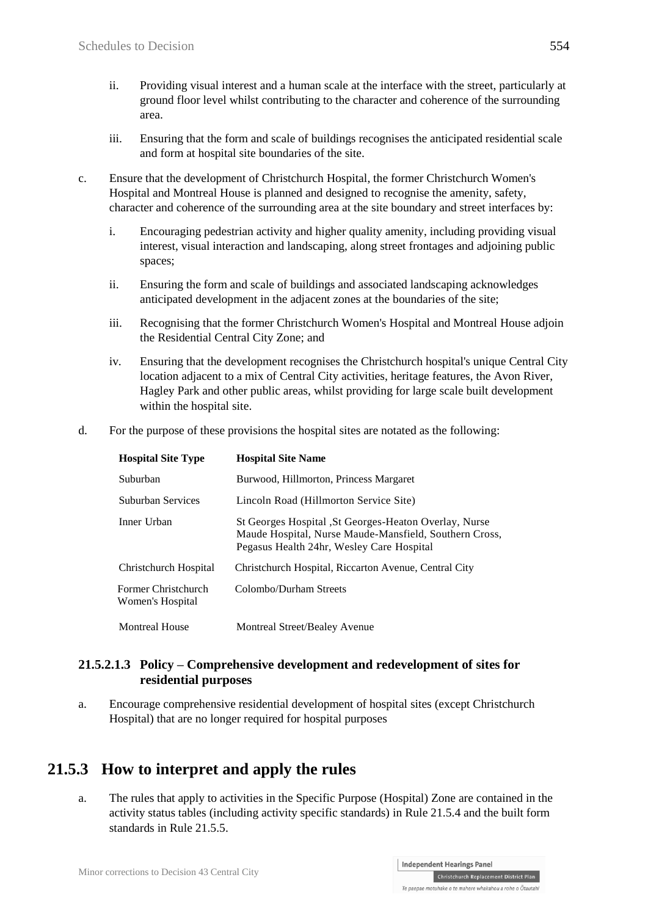- ii. Providing visual interest and a human scale at the interface with the street, particularly at ground floor level whilst contributing to the character and coherence of the surrounding area.
- iii. Ensuring that the form and scale of buildings recognises the anticipated residential scale and form at hospital site boundaries of the site.
- c. Ensure that the development of Christchurch Hospital, the former Christchurch Women's Hospital and Montreal House is planned and designed to recognise the amenity, safety, character and coherence of the surrounding area at the site boundary and street interfaces by:
	- i. Encouraging pedestrian activity and higher quality amenity, including providing visual interest, visual interaction and landscaping, along street frontages and adjoining public spaces;
	- ii. Ensuring the form and scale of buildings and associated landscaping acknowledges anticipated development in the adjacent zones at the boundaries of the site;
	- iii. Recognising that the former Christchurch Women's Hospital and Montreal House adjoin the Residential Central City Zone; and
	- iv. Ensuring that the development recognises the Christchurch hospital's unique Central City location adjacent to a mix of Central City activities, heritage features, the Avon River, Hagley Park and other public areas, whilst providing for large scale built development within the hospital site.
- d. For the purpose of these provisions the hospital sites are notated as the following:

| <b>Hospital Site Type</b>               | <b>Hospital Site Name</b>                                                                                                                                     |
|-----------------------------------------|---------------------------------------------------------------------------------------------------------------------------------------------------------------|
| Suburban                                | Burwood, Hillmorton, Princess Margaret                                                                                                                        |
| Suburban Services                       | Lincoln Road (Hillmorton Service Site)                                                                                                                        |
| Inner Urban                             | St Georges Hospital , St Georges-Heaton Overlay, Nurse<br>Maude Hospital, Nurse Maude-Mansfield, Southern Cross,<br>Pegasus Health 24hr, Wesley Care Hospital |
| Christchurch Hospital                   | Christchurch Hospital, Riccarton Avenue, Central City                                                                                                         |
| Former Christchurch<br>Women's Hospital | Colombo/Durham Streets                                                                                                                                        |
| <b>Montreal House</b>                   | Montreal Street/Bealey Avenue                                                                                                                                 |

#### **21.5.2.1.3 Policy – Comprehensive development and redevelopment of sites for residential purposes**

a. Encourage comprehensive residential development of hospital sites (except Christchurch Hospital) that are no longer required for hospital purposes

# **21.5.3 How to interpret and apply the rules**

a. The rules that apply to activities in the Specific Purpose (Hospital) Zone are contained in the activity status tables (including activity specific standards) in Rule 21.5.4 and the built form standards in Rule 21.5.5.

Te paepae motuhake o te mahere whakahou a rohe o Ōtautahi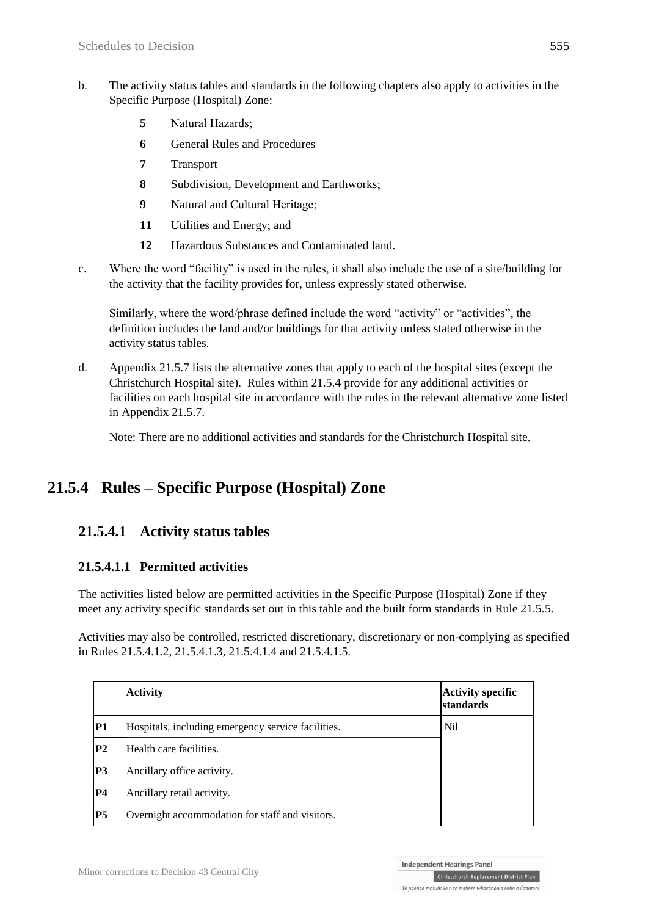- b. The activity status tables and standards in the following chapters also apply to activities in the Specific Purpose (Hospital) Zone:
	- **5** Natural Hazards;
	- **6** General Rules and Procedures
	- **7** Transport
	- **8** Subdivision, Development and Earthworks;
	- **9** Natural and Cultural Heritage;
	- **11** Utilities and Energy; and
	- **12** Hazardous Substances and Contaminated land.
- c. Where the word "facility" is used in the rules, it shall also include the use of a site/building for the activity that the facility provides for, unless expressly stated otherwise.

Similarly, where the word/phrase defined include the word "activity" or "activities", the definition includes the land and/or buildings for that activity unless stated otherwise in the activity status tables.

d. Appendix 21.5.7 lists the alternative zones that apply to each of the hospital sites (except the Christchurch Hospital site). Rules within 21.5.4 provide for any additional activities or facilities on each hospital site in accordance with the rules in the relevant alternative zone listed in Appendix 21.5.7.

Note: There are no additional activities and standards for the Christchurch Hospital site.

# **21.5.4 Rules – Specific Purpose (Hospital) Zone**

### **21.5.4.1 Activity status tables**

### **21.5.4.1.1 Permitted activities**

The activities listed below are permitted activities in the Specific Purpose (Hospital) Zone if they meet any activity specific standards set out in this table and the built form standards in Rule 21.5.5.

Activities may also be controlled, restricted discretionary, discretionary or non-complying as specified in Rules 21.5.4.1.2, 21.5.4.1.3, 21.5.4.1.4 and 21.5.4.1.5.

|                | <b>Activity</b>                                    | <b>Activity specific</b><br>standards |
|----------------|----------------------------------------------------|---------------------------------------|
| P1             | Hospitals, including emergency service facilities. | N <sub>i</sub>                        |
| P <sub>2</sub> | Health care facilities.                            |                                       |
| P <sub>3</sub> | Ancillary office activity.                         |                                       |
| <b>P4</b>      | Ancillary retail activity.                         |                                       |
| <b>P5</b>      | Overnight accommodation for staff and visitors.    |                                       |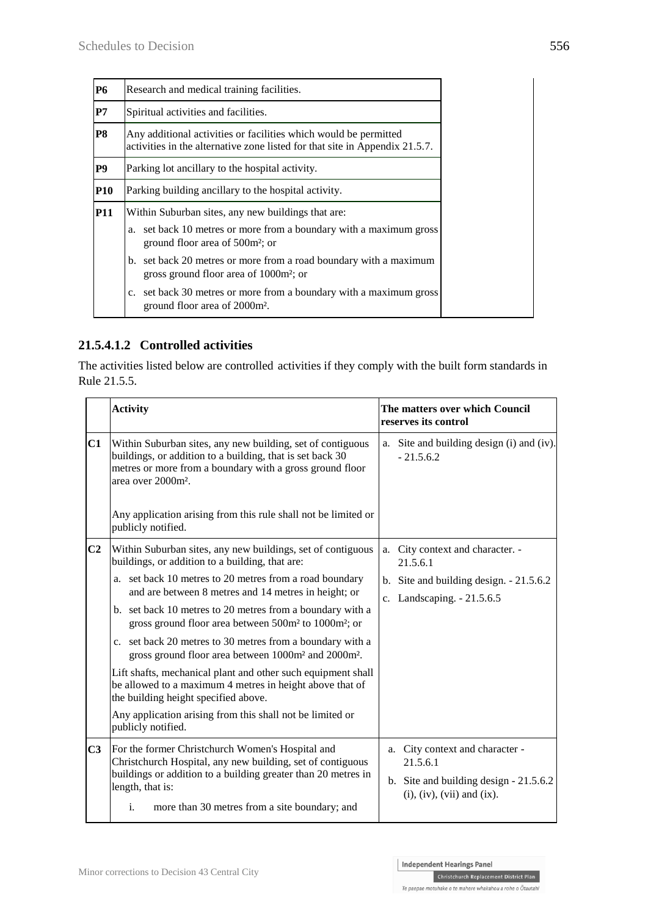### **21.5.4.1.2 Controlled activities**

The activities listed below are controlled activities if they comply with the built form standards in Rule 21.5.5.

| <b>Activity</b>                                                                                                                                                                                                                                            | The matters over which Council<br>reserves its control                                                                          |  |
|------------------------------------------------------------------------------------------------------------------------------------------------------------------------------------------------------------------------------------------------------------|---------------------------------------------------------------------------------------------------------------------------------|--|
| Within Suburban sites, any new building, set of contiguous<br>buildings, or addition to a building, that is set back 30<br>metres or more from a boundary with a gross ground floor<br>area over 2000m <sup>2</sup> .                                      | a. Site and building design (i) and (iv).<br>$-21.5.6.2$                                                                        |  |
| Any application arising from this rule shall not be limited or<br>publicly notified.                                                                                                                                                                       |                                                                                                                                 |  |
| Within Suburban sites, any new buildings, set of contiguous<br>buildings, or addition to a building, that are:                                                                                                                                             | a. City context and character. -<br>21.5.6.1                                                                                    |  |
| a. set back 10 metres to 20 metres from a road boundary<br>and are between 8 metres and 14 metres in height; or                                                                                                                                            | b. Site and building design. $-21.5.6.2$<br>c. Landscaping. - 21.5.6.5                                                          |  |
| gross ground floor area between 500m <sup>2</sup> to 1000m <sup>2</sup> ; or                                                                                                                                                                               |                                                                                                                                 |  |
| c. set back 20 metres to 30 metres from a boundary with a<br>gross ground floor area between 1000m <sup>2</sup> and 2000m <sup>2</sup> .                                                                                                                   |                                                                                                                                 |  |
| Lift shafts, mechanical plant and other such equipment shall<br>be allowed to a maximum 4 metres in height above that of<br>the building height specified above.                                                                                           |                                                                                                                                 |  |
| Any application arising from this shall not be limited or<br>publicly notified.                                                                                                                                                                            |                                                                                                                                 |  |
| For the former Christchurch Women's Hospital and<br>Christchurch Hospital, any new building, set of contiguous<br>buildings or addition to a building greater than 20 metres in<br>length, that is:<br>i.<br>more than 30 metres from a site boundary; and | a. City context and character -<br>21.5.6.1<br>b. Site and building design $-21.5.6.2$<br>$(i)$ , $(iv)$ , $(vii)$ and $(ix)$ . |  |
|                                                                                                                                                                                                                                                            | b. set back 10 metres to 20 metres from a boundary with a                                                                       |  |

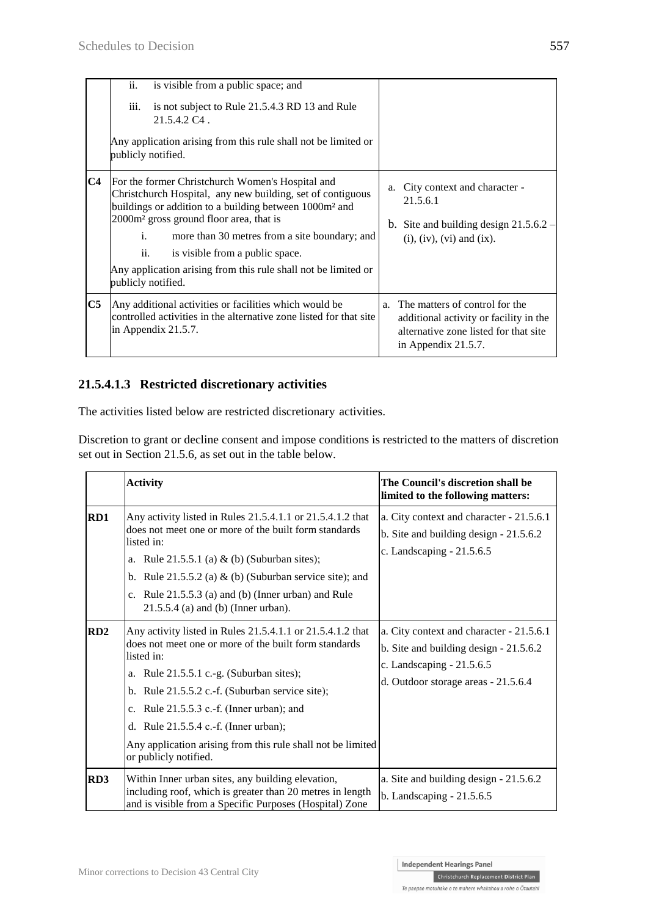|                | ii.<br>is visible from a public space; and<br>is not subject to Rule 21.5.4.3 RD 13 and Rule<br><i>iii.</i><br>$21.5.4.2 \text{ C}4$ .<br>Any application arising from this rule shall not be limited or<br>publicly notified.                                                                                                                                                                                                       |                                                                                                                                                |
|----------------|--------------------------------------------------------------------------------------------------------------------------------------------------------------------------------------------------------------------------------------------------------------------------------------------------------------------------------------------------------------------------------------------------------------------------------------|------------------------------------------------------------------------------------------------------------------------------------------------|
| C <sub>4</sub> | For the former Christchurch Women's Hospital and<br>Christchurch Hospital, any new building, set of contiguous<br>buildings or addition to a building between 1000m <sup>2</sup> and<br>2000m <sup>2</sup> gross ground floor area, that is<br>i.<br>more than 30 metres from a site boundary; and<br>ii.<br>is visible from a public space.<br>Any application arising from this rule shall not be limited or<br>publicly notified. | City context and character -<br>a.<br>21.5.6.1<br>b. Site and building design $21.5.6.2$ –<br>$(i)$ , $(iv)$ , $(vi)$ and $(ix)$ .             |
| C5             | Any additional activities or facilities which would be<br>controlled activities in the alternative zone listed for that site<br>in Appendix $21.5.7$ .                                                                                                                                                                                                                                                                               | a. The matters of control for the<br>additional activity or facility in the<br>alternative zone listed for that site<br>in Appendix $21.5.7$ . |

### **21.5.4.1.3 Restricted discretionary activities**

The activities listed below are restricted discretionary activities.

Discretion to grant or decline consent and impose conditions is restricted to the matters of discretion set out in Section 21.5.6, as set out in the table below.

|                 | <b>Activity</b>                                                                                                                                                                                                                                                                                                                                                                                                    | The Council's discretion shall be<br>limited to the following matters:                                                                                  |
|-----------------|--------------------------------------------------------------------------------------------------------------------------------------------------------------------------------------------------------------------------------------------------------------------------------------------------------------------------------------------------------------------------------------------------------------------|---------------------------------------------------------------------------------------------------------------------------------------------------------|
| RD1             | Any activity listed in Rules 21.5.4.1.1 or 21.5.4.1.2 that<br>does not meet one or more of the built form standards<br>listed in:<br>a. Rule $21.5.5.1$ (a) & (b) (Suburban sites);<br>b. Rule $21.5.5.2$ (a) & (b) (Suburban service site); and<br>c. Rule $21.5.5.3$ (a) and (b) (Inner urban) and Rule<br>$21.5.5.4$ (a) and (b) (Inner urban).                                                                 | a. City context and character - 21.5.6.1<br>b. Site and building design $-21.5.6.2$<br>c. Landscaping - 21.5.6.5                                        |
| RD2             | Any activity listed in Rules 21.5.4.1.1 or 21.5.4.1.2 that<br>does not meet one or more of the built form standards<br>listed in:<br>a. Rule $21.5.5.1$ c.-g. (Suburban sites);<br>b. Rule 21.5.5.2 c.-f. (Suburban service site);<br>c. Rule $21.5.5.3$ c.-f. (Inner urban); and<br>d. Rule 21.5.5.4 c.-f. (Inner urban);<br>Any application arising from this rule shall not be limited<br>or publicly notified. | a. City context and character - 21.5.6.1<br>b. Site and building design $-21.5.6.2$<br>c. Landscaping - 21.5.6.5<br>d. Outdoor storage areas - 21.5.6.4 |
| RD <sub>3</sub> | Within Inner urban sites, any building elevation,<br>including roof, which is greater than 20 metres in length<br>and is visible from a Specific Purposes (Hospital) Zone                                                                                                                                                                                                                                          | a. Site and building design - 21.5.6.2<br>b. Landscaping $-21.5.6.5$                                                                                    |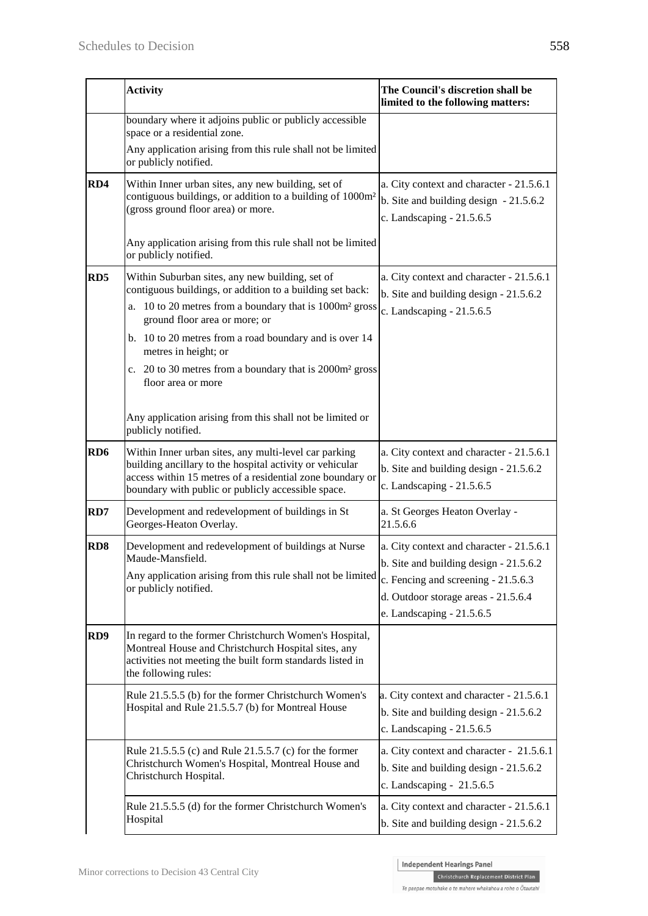|                 | <b>Activity</b>                                                                                                                                                                                                                      | The Council's discretion shall be<br>limited to the following matters:                                                                                                                          |
|-----------------|--------------------------------------------------------------------------------------------------------------------------------------------------------------------------------------------------------------------------------------|-------------------------------------------------------------------------------------------------------------------------------------------------------------------------------------------------|
|                 | boundary where it adjoins public or publicly accessible<br>space or a residential zone.                                                                                                                                              |                                                                                                                                                                                                 |
|                 | Any application arising from this rule shall not be limited<br>or publicly notified.                                                                                                                                                 |                                                                                                                                                                                                 |
| RD4             | Within Inner urban sites, any new building, set of<br>contiguous buildings, or addition to a building of 1000m <sup>2</sup><br>(gross ground floor area) or more.                                                                    | a. City context and character - 21.5.6.1<br>b. Site and building design $-21.5.6.2$<br>c. Landscaping - 21.5.6.5                                                                                |
|                 | Any application arising from this rule shall not be limited<br>or publicly notified.                                                                                                                                                 |                                                                                                                                                                                                 |
| RD <sub>5</sub> | Within Suburban sites, any new building, set of<br>contiguous buildings, or addition to a building set back:<br>a. 10 to 20 metres from a boundary that is 1000m <sup>2</sup> gross<br>ground floor area or more; or                 | a. City context and character - 21.5.6.1<br>b. Site and building design $-21.5.6.2$<br>c. Landscaping - 21.5.6.5                                                                                |
|                 | b. 10 to 20 metres from a road boundary and is over 14<br>metres in height; or<br>c. 20 to 30 metres from a boundary that is 2000m <sup>2</sup> gross<br>floor area or more                                                          |                                                                                                                                                                                                 |
|                 | Any application arising from this shall not be limited or<br>publicly notified.                                                                                                                                                      |                                                                                                                                                                                                 |
| RD <sub>6</sub> | Within Inner urban sites, any multi-level car parking<br>building ancillary to the hospital activity or vehicular<br>access within 15 metres of a residential zone boundary or<br>boundary with public or publicly accessible space. | a. City context and character - 21.5.6.1<br>b. Site and building design - 21.5.6.2<br>c. Landscaping - 21.5.6.5                                                                                 |
| RD7             | Development and redevelopment of buildings in St<br>Georges-Heaton Overlay.                                                                                                                                                          | a. St Georges Heaton Overlay -<br>21.5.6.6                                                                                                                                                      |
| RD <sub>8</sub> | Development and redevelopment of buildings at Nurse<br>Maude-Mansfield.<br>Any application arising from this rule shall not be limited<br>or publicly notified.                                                                      | a. City context and character - 21.5.6.1<br>$b.$ Site and building design - 21.5.6.2<br>c. Fencing and screening - 21.5.6.3<br>d. Outdoor storage areas - 21.5.6.4<br>e. Landscaping - 21.5.6.5 |
| RD9             | In regard to the former Christchurch Women's Hospital,<br>Montreal House and Christchurch Hospital sites, any<br>activities not meeting the built form standards listed in<br>the following rules:                                   |                                                                                                                                                                                                 |
|                 | Rule 21.5.5.5 (b) for the former Christchurch Women's<br>Hospital and Rule 21.5.5.7 (b) for Montreal House                                                                                                                           | a. City context and character - 21.5.6.1<br>b. Site and building design - 21.5.6.2<br>c. Landscaping $-21.5.6.5$                                                                                |
|                 | Rule 21.5.5.5 (c) and Rule 21.5.5.7 (c) for the former<br>Christchurch Women's Hospital, Montreal House and<br>Christchurch Hospital.                                                                                                | a. City context and character - 21.5.6.1<br>b. Site and building design - 21.5.6.2<br>c. Landscaping - 21.5.6.5                                                                                 |
|                 | Rule 21.5.5.5 (d) for the former Christchurch Women's<br>Hospital                                                                                                                                                                    | a. City context and character - 21.5.6.1<br>b. Site and building design - 21.5.6.2                                                                                                              |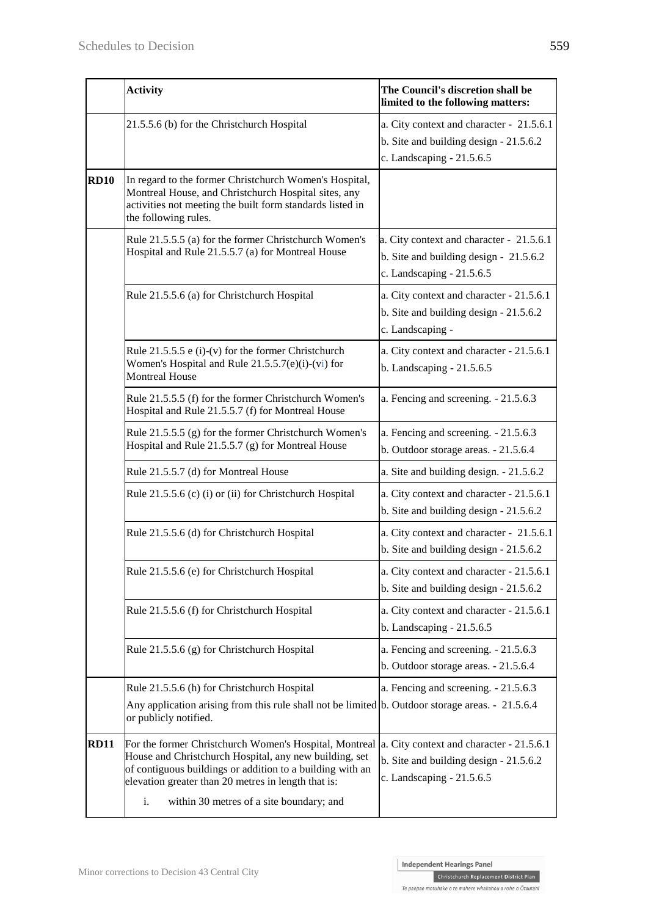|             | <b>Activity</b>                                                                                                                                                                                                                                                                        | The Council's discretion shall be<br>limited to the following matters:                                           |
|-------------|----------------------------------------------------------------------------------------------------------------------------------------------------------------------------------------------------------------------------------------------------------------------------------------|------------------------------------------------------------------------------------------------------------------|
|             | 21.5.5.6 (b) for the Christchurch Hospital                                                                                                                                                                                                                                             | a. City context and character - 21.5.6.1<br>b. Site and building design $-21.5.6.2$<br>c. Landscaping - 21.5.6.5 |
| <b>RD10</b> | In regard to the former Christchurch Women's Hospital,<br>Montreal House, and Christchurch Hospital sites, any<br>activities not meeting the built form standards listed in<br>the following rules.                                                                                    |                                                                                                                  |
|             | Rule 21.5.5.5 (a) for the former Christchurch Women's<br>Hospital and Rule 21.5.5.7 (a) for Montreal House                                                                                                                                                                             | a. City context and character - 21.5.6.1<br>b. Site and building design - 21.5.6.2<br>c. Landscaping $-21.5.6.5$ |
|             | Rule 21.5.5.6 (a) for Christchurch Hospital                                                                                                                                                                                                                                            | a. City context and character - 21.5.6.1<br>b. Site and building design - 21.5.6.2<br>c. Landscaping -           |
|             | Rule $21.5.5.5$ e (i)-(v) for the former Christchurch<br>Women's Hospital and Rule 21.5.5.7(e)(i)-(vi) for<br><b>Montreal House</b>                                                                                                                                                    | a. City context and character - 21.5.6.1<br>b. Landscaping $-21.5.6.5$                                           |
|             | Rule 21.5.5.5 (f) for the former Christchurch Women's<br>Hospital and Rule 21.5.5.7 (f) for Montreal House                                                                                                                                                                             | a. Fencing and screening. - 21.5.6.3                                                                             |
|             | Rule 21.5.5.5 (g) for the former Christchurch Women's<br>Hospital and Rule 21.5.5.7 (g) for Montreal House                                                                                                                                                                             | a. Fencing and screening. - 21.5.6.3<br>b. Outdoor storage areas. - 21.5.6.4                                     |
|             | Rule 21.5.5.7 (d) for Montreal House                                                                                                                                                                                                                                                   | a. Site and building design. - 21.5.6.2                                                                          |
|             | Rule 21.5.5.6 (c) (i) or (ii) for Christchurch Hospital                                                                                                                                                                                                                                | a. City context and character - 21.5.6.1<br>b. Site and building design - 21.5.6.2                               |
|             | Rule 21.5.5.6 (d) for Christchurch Hospital                                                                                                                                                                                                                                            | a. City context and character - 21.5.6.1<br>b. Site and building design - 21.5.6.2                               |
|             | Rule 21.5.5.6 (e) for Christchurch Hospital                                                                                                                                                                                                                                            | a. City context and character - 21.5.6.1<br>b. Site and building design - 21.5.6.2                               |
|             | Rule 21.5.5.6 (f) for Christchurch Hospital                                                                                                                                                                                                                                            | a. City context and character - 21.5.6.1<br>b. Landscaping $-21.5.6.5$                                           |
|             | Rule $21.5.5.6$ (g) for Christchurch Hospital                                                                                                                                                                                                                                          | a. Fencing and screening. - 21.5.6.3<br>b. Outdoor storage areas. - 21.5.6.4                                     |
|             | Rule 21.5.5.6 (h) for Christchurch Hospital<br>Any application arising from this rule shall not be limited b. Outdoor storage areas. - 21.5.6.4<br>or publicly notified.                                                                                                               | a. Fencing and screening. - 21.5.6.3                                                                             |
| <b>RD11</b> | For the former Christchurch Women's Hospital, Montreal<br>House and Christchurch Hospital, any new building, set<br>of contiguous buildings or addition to a building with an<br>elevation greater than 20 metres in length that is:<br>within 30 metres of a site boundary; and<br>i. | a. City context and character - 21.5.6.1<br>b. Site and building design - 21.5.6.2<br>c. Landscaping - 21.5.6.5  |

Te paepae motuhake o te mahere whakahou a rohe o Ōtautahi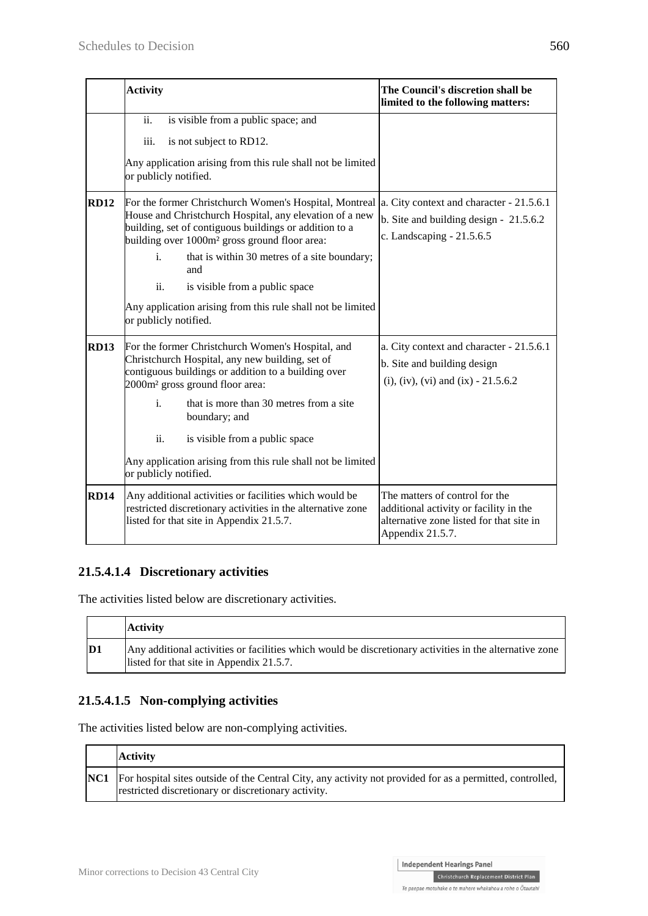|             | <b>Activity</b>                                                                                                                                                                                                                                                                                                                                                                                                                        | The Council's discretion shall be<br>limited to the following matters:                                                                   |
|-------------|----------------------------------------------------------------------------------------------------------------------------------------------------------------------------------------------------------------------------------------------------------------------------------------------------------------------------------------------------------------------------------------------------------------------------------------|------------------------------------------------------------------------------------------------------------------------------------------|
|             | $\overline{ii}$ .<br>is visible from a public space; and<br>iii.<br>is not subject to RD12.<br>Any application arising from this rule shall not be limited<br>or publicly notified.                                                                                                                                                                                                                                                    |                                                                                                                                          |
| <b>RD12</b> | For the former Christchurch Women's Hospital, Montreal<br>House and Christchurch Hospital, any elevation of a new<br>building, set of contiguous buildings or addition to a<br>building over 1000m <sup>2</sup> gross ground floor area:<br>that is within 30 metres of a site boundary;<br>i.<br>and<br>ii.<br>is visible from a public space<br>Any application arising from this rule shall not be limited<br>or publicly notified. | a. City context and character - 21.5.6.1<br>b. Site and building design - 21.5.6.2<br>c. Landscaping - 21.5.6.5                          |
| <b>RD13</b> | For the former Christchurch Women's Hospital, and<br>Christchurch Hospital, any new building, set of<br>contiguous buildings or addition to a building over<br>2000m <sup>2</sup> gross ground floor area:<br>$\mathbf{i}$ .<br>that is more than 30 metres from a site<br>boundary; and<br>ii.<br>is visible from a public space<br>Any application arising from this rule shall not be limited<br>or publicly notified.              | a. City context and character - 21.5.6.1<br>b. Site and building design<br>(i), (iv), (vi) and (ix) - $21.5.6.2$                         |
| <b>RD14</b> | Any additional activities or facilities which would be<br>restricted discretionary activities in the alternative zone<br>listed for that site in Appendix 21.5.7.                                                                                                                                                                                                                                                                      | The matters of control for the<br>additional activity or facility in the<br>alternative zone listed for that site in<br>Appendix 21.5.7. |

### **21.5.4.1.4 Discretionary activities**

The activities listed below are discretionary activities.

|               | <b>Activity</b>                                                                                                                                     |
|---------------|-----------------------------------------------------------------------------------------------------------------------------------------------------|
| $\mathbf{D1}$ | Any additional activities or facilities which would be discretionary activities in the alternative zone<br>listed for that site in Appendix 21.5.7. |

### **21.5.4.1.5 Non-complying activities**

The activities listed below are non-complying activities.

| <b>Activity</b>                                                                                                                                                      |
|----------------------------------------------------------------------------------------------------------------------------------------------------------------------|
| NC1 For hospital sites outside of the Central City, any activity not provided for as a permitted, controlled,<br>restricted discretionary or discretionary activity. |

Christchurch Replacement District Plan Te paepae motuhake o te mahere whakahou a rohe o Ōtautahi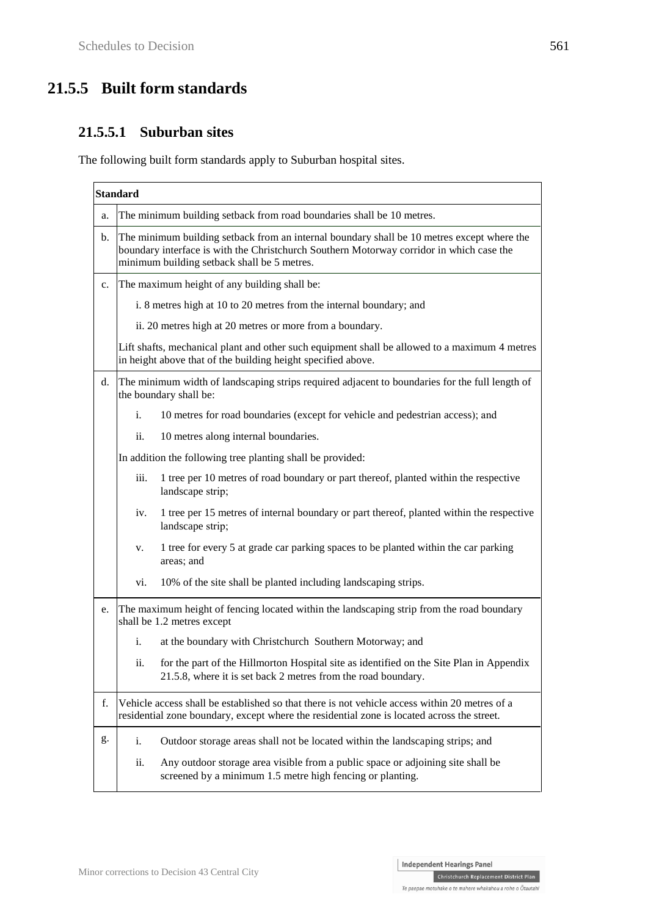# **21.5.5 Built form standards**

### **21.5.5.1 Suburban sites**

The following built form standards apply to Suburban hospital sites.

|    | <b>Standard</b>                                                                                                                                                                                                                       |                                                                                                                                                               |  |
|----|---------------------------------------------------------------------------------------------------------------------------------------------------------------------------------------------------------------------------------------|---------------------------------------------------------------------------------------------------------------------------------------------------------------|--|
| a. | The minimum building setback from road boundaries shall be 10 metres.                                                                                                                                                                 |                                                                                                                                                               |  |
| b. | The minimum building setback from an internal boundary shall be 10 metres except where the<br>boundary interface is with the Christchurch Southern Motorway corridor in which case the<br>minimum building setback shall be 5 metres. |                                                                                                                                                               |  |
| c. |                                                                                                                                                                                                                                       | The maximum height of any building shall be:                                                                                                                  |  |
|    |                                                                                                                                                                                                                                       | i. 8 metres high at 10 to 20 metres from the internal boundary; and                                                                                           |  |
|    |                                                                                                                                                                                                                                       | ii. 20 metres high at 20 metres or more from a boundary.                                                                                                      |  |
|    |                                                                                                                                                                                                                                       | Lift shafts, mechanical plant and other such equipment shall be allowed to a maximum 4 metres<br>in height above that of the building height specified above. |  |
| d. |                                                                                                                                                                                                                                       | The minimum width of landscaping strips required adjacent to boundaries for the full length of<br>the boundary shall be:                                      |  |
|    | i.                                                                                                                                                                                                                                    | 10 metres for road boundaries (except for vehicle and pedestrian access); and                                                                                 |  |
|    | ii.                                                                                                                                                                                                                                   | 10 metres along internal boundaries.                                                                                                                          |  |
|    | In addition the following tree planting shall be provided:                                                                                                                                                                            |                                                                                                                                                               |  |
|    | iii.                                                                                                                                                                                                                                  | 1 tree per 10 metres of road boundary or part thereof, planted within the respective<br>landscape strip;                                                      |  |
|    | iv.                                                                                                                                                                                                                                   | 1 tree per 15 metres of internal boundary or part thereof, planted within the respective<br>landscape strip;                                                  |  |
|    | v.                                                                                                                                                                                                                                    | 1 tree for every 5 at grade car parking spaces to be planted within the car parking<br>areas; and                                                             |  |
|    | vi.                                                                                                                                                                                                                                   | 10% of the site shall be planted including landscaping strips.                                                                                                |  |
| e. | The maximum height of fencing located within the landscaping strip from the road boundary<br>shall be 1.2 metres except                                                                                                               |                                                                                                                                                               |  |
|    | i.                                                                                                                                                                                                                                    | at the boundary with Christchurch Southern Motorway; and                                                                                                      |  |
|    | ii.                                                                                                                                                                                                                                   | for the part of the Hillmorton Hospital site as identified on the Site Plan in Appendix<br>21.5.8, where it is set back 2 metres from the road boundary.      |  |
| f. | Vehicle access shall be established so that there is not vehicle access within 20 metres of a<br>residential zone boundary, except where the residential zone is located across the street.                                           |                                                                                                                                                               |  |
| g. | i.                                                                                                                                                                                                                                    | Outdoor storage areas shall not be located within the landscaping strips; and                                                                                 |  |
|    | ii.                                                                                                                                                                                                                                   | Any outdoor storage area visible from a public space or adjoining site shall be<br>screened by a minimum 1.5 metre high fencing or planting.                  |  |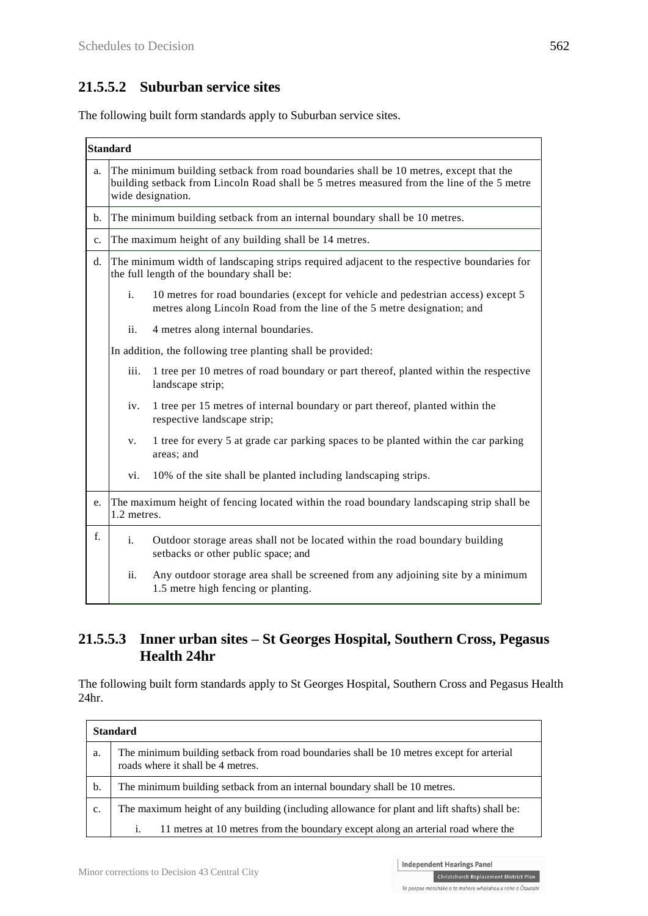# **21.5.5.2 Suburban service sites**

The following built form standards apply to Suburban service sites.

|                                                              | <b>Standard</b>                                                                                                                                                                                          |                                                                                                                                                              |  |  |
|--------------------------------------------------------------|----------------------------------------------------------------------------------------------------------------------------------------------------------------------------------------------------------|--------------------------------------------------------------------------------------------------------------------------------------------------------------|--|--|
| a.                                                           | The minimum building setback from road boundaries shall be 10 metres, except that the<br>building setback from Lincoln Road shall be 5 metres measured from the line of the 5 metre<br>wide designation. |                                                                                                                                                              |  |  |
| b.                                                           | The minimum building setback from an internal boundary shall be 10 metres.                                                                                                                               |                                                                                                                                                              |  |  |
| The maximum height of any building shall be 14 metres.<br>c. |                                                                                                                                                                                                          |                                                                                                                                                              |  |  |
| d.                                                           |                                                                                                                                                                                                          | The minimum width of landscaping strips required adjacent to the respective boundaries for<br>the full length of the boundary shall be:                      |  |  |
|                                                              | i.                                                                                                                                                                                                       | 10 metres for road boundaries (except for vehicle and pedestrian access) except 5<br>metres along Lincoln Road from the line of the 5 metre designation; and |  |  |
|                                                              | ii.                                                                                                                                                                                                      | 4 metres along internal boundaries.                                                                                                                          |  |  |
|                                                              |                                                                                                                                                                                                          | In addition, the following tree planting shall be provided:                                                                                                  |  |  |
|                                                              | iii.                                                                                                                                                                                                     | 1 tree per 10 metres of road boundary or part thereof, planted within the respective<br>landscape strip;                                                     |  |  |
| iv.<br>respective landscape strip;<br>V.<br>areas; and       |                                                                                                                                                                                                          | 1 tree per 15 metres of internal boundary or part thereof, planted within the                                                                                |  |  |
|                                                              |                                                                                                                                                                                                          | 1 tree for every 5 at grade car parking spaces to be planted within the car parking                                                                          |  |  |
|                                                              | vi.                                                                                                                                                                                                      | 10% of the site shall be planted including landscaping strips.                                                                                               |  |  |
| e.                                                           | The maximum height of fencing located within the road boundary landscaping strip shall be<br>1.2 metres.                                                                                                 |                                                                                                                                                              |  |  |
| f.<br>i.<br>setbacks or other public space; and              |                                                                                                                                                                                                          | Outdoor storage areas shall not be located within the road boundary building                                                                                 |  |  |
|                                                              | ii.                                                                                                                                                                                                      | Any outdoor storage area shall be screened from any adjoining site by a minimum<br>1.5 metre high fencing or planting.                                       |  |  |

### **21.5.5.3 Inner urban sites – St Georges Hospital, Southern Cross, Pegasus Health 24hr**

The following built form standards apply to St Georges Hospital, Southern Cross and Pegasus Health 24hr.

|    | <b>Standard</b>                                                                                                               |  |  |
|----|-------------------------------------------------------------------------------------------------------------------------------|--|--|
| a. | The minimum building setback from road boundaries shall be 10 metres except for arterial<br>roads where it shall be 4 metres. |  |  |
| b. | The minimum building setback from an internal boundary shall be 10 metres.                                                    |  |  |
| c. | The maximum height of any building (including allowance for plant and lift shafts) shall be:                                  |  |  |
|    | 11 metres at 10 metres from the boundary except along an arterial road where the<br>i.                                        |  |  |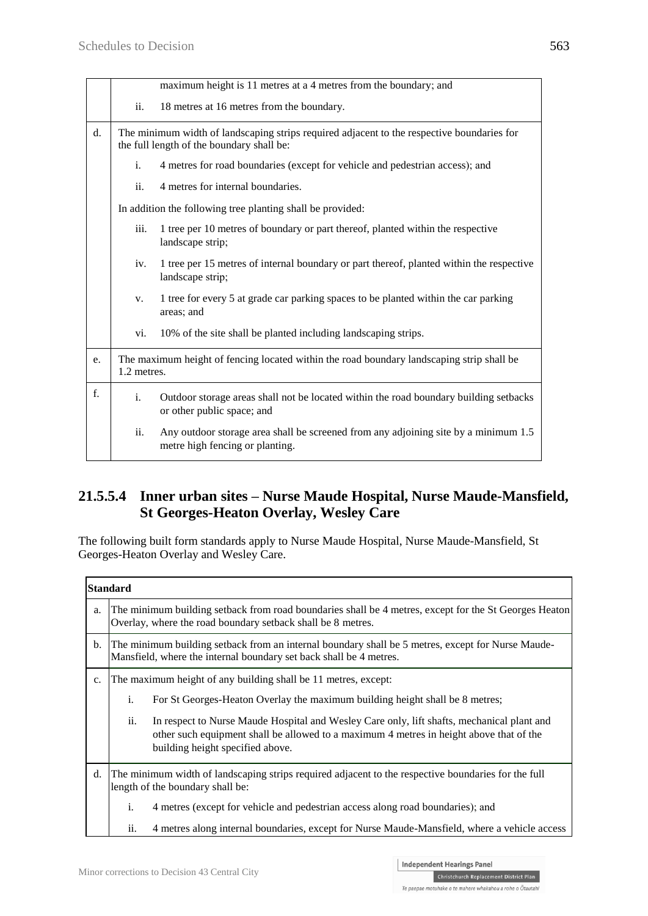|                                                                         | maximum height is 11 metres at a 4 metres from the boundary; and                                                                        |                                                                                                                        |  |  |
|-------------------------------------------------------------------------|-----------------------------------------------------------------------------------------------------------------------------------------|------------------------------------------------------------------------------------------------------------------------|--|--|
|                                                                         | ii.<br>18 metres at 16 metres from the boundary.                                                                                        |                                                                                                                        |  |  |
| $\mathbf{d}$ .                                                          | The minimum width of landscaping strips required adjacent to the respective boundaries for<br>the full length of the boundary shall be: |                                                                                                                        |  |  |
|                                                                         | 4 metres for road boundaries (except for vehicle and pedestrian access); and                                                            |                                                                                                                        |  |  |
| 4 metres for internal boundaries.<br>ii.                                |                                                                                                                                         |                                                                                                                        |  |  |
| In addition the following tree planting shall be provided:              |                                                                                                                                         |                                                                                                                        |  |  |
| iii.<br>landscape strip;<br>iv.<br>landscape strip;<br>V.<br>areas; and |                                                                                                                                         | 1 tree per 10 metres of boundary or part thereof, planted within the respective                                        |  |  |
|                                                                         |                                                                                                                                         | 1 tree per 15 metres of internal boundary or part thereof, planted within the respective                               |  |  |
|                                                                         |                                                                                                                                         | 1 tree for every 5 at grade car parking spaces to be planted within the car parking                                    |  |  |
|                                                                         | vi.                                                                                                                                     | 10% of the site shall be planted including landscaping strips.                                                         |  |  |
| e.                                                                      | The maximum height of fencing located within the road boundary landscaping strip shall be<br>1.2 metres.                                |                                                                                                                        |  |  |
| f.                                                                      | Outdoor storage areas shall not be located within the road boundary building setbacks<br>i.<br>or other public space; and               |                                                                                                                        |  |  |
|                                                                         | ii.                                                                                                                                     | Any outdoor storage area shall be screened from any adjoining site by a minimum 1.5<br>metre high fencing or planting. |  |  |

### **21.5.5.4 Inner urban sites – Nurse Maude Hospital, Nurse Maude-Mansfield, St Georges-Heaton Overlay, Wesley Care**

The following built form standards apply to Nurse Maude Hospital, Nurse Maude-Mansfield, St Georges-Heaton Overlay and Wesley Care.

| <b>Standard</b> |                                                                                                                                                                         |                                                                                                                                                                                                                           |  |
|-----------------|-------------------------------------------------------------------------------------------------------------------------------------------------------------------------|---------------------------------------------------------------------------------------------------------------------------------------------------------------------------------------------------------------------------|--|
| a.              | The minimum building setback from road boundaries shall be 4 metres, except for the St Georges Heaton<br>Overlay, where the road boundary setback shall be 8 metres.    |                                                                                                                                                                                                                           |  |
| b.              | The minimum building setback from an internal boundary shall be 5 metres, except for Nurse Maude-<br>Mansfield, where the internal boundary set back shall be 4 metres. |                                                                                                                                                                                                                           |  |
| c.              | The maximum height of any building shall be 11 metres, except:                                                                                                          |                                                                                                                                                                                                                           |  |
|                 | i.                                                                                                                                                                      | For St Georges-Heaton Overlay the maximum building height shall be 8 metres;                                                                                                                                              |  |
|                 | ii.                                                                                                                                                                     | In respect to Nurse Maude Hospital and Wesley Care only, lift shafts, mechanical plant and<br>other such equipment shall be allowed to a maximum 4 metres in height above that of the<br>building height specified above. |  |
| d.              | The minimum width of landscaping strips required adjacent to the respective boundaries for the full<br>length of the boundary shall be:                                 |                                                                                                                                                                                                                           |  |
|                 | i.                                                                                                                                                                      | 4 metres (except for vehicle and pedestrian access along road boundaries); and                                                                                                                                            |  |
|                 | ii.                                                                                                                                                                     | 4 metres along internal boundaries, except for Nurse Maude-Mansfield, where a vehicle access                                                                                                                              |  |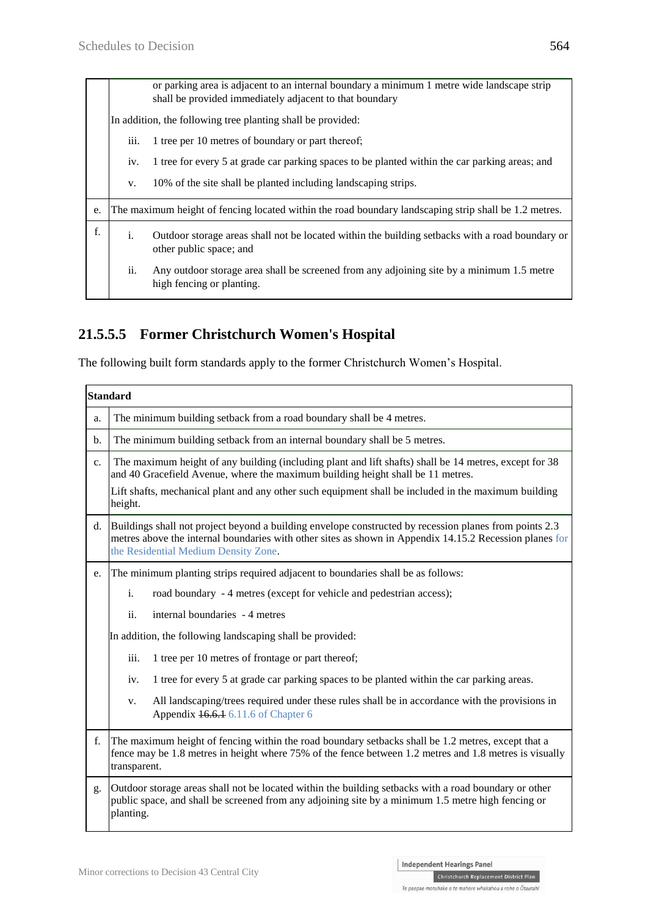| or parking area is adjacent to an internal boundary a minimum 1 metre wide landscape strip<br>shall be provided immediately adjacent to that boundary |                                     |                                                                                                       |                                                                                                                        |
|-------------------------------------------------------------------------------------------------------------------------------------------------------|-------------------------------------|-------------------------------------------------------------------------------------------------------|------------------------------------------------------------------------------------------------------------------------|
| In addition, the following tree planting shall be provided:                                                                                           |                                     |                                                                                                       |                                                                                                                        |
| iii.<br>1 tree per 10 metres of boundary or part thereof;<br>iv.                                                                                      |                                     |                                                                                                       |                                                                                                                        |
|                                                                                                                                                       |                                     | 1 tree for every 5 at grade car parking spaces to be planted within the car parking areas; and        |                                                                                                                        |
|                                                                                                                                                       |                                     | V.                                                                                                    | 10% of the site shall be planted including landscaping strips.                                                         |
|                                                                                                                                                       | e.                                  | The maximum height of fencing located within the road boundary landscaping strip shall be 1.2 metres. |                                                                                                                        |
|                                                                                                                                                       | f.<br>i.<br>other public space; and |                                                                                                       | Outdoor storage areas shall not be located within the building setbacks with a road boundary or                        |
|                                                                                                                                                       |                                     | ii.                                                                                                   | Any outdoor storage area shall be screened from any adjoining site by a minimum 1.5 metre<br>high fencing or planting. |
|                                                                                                                                                       |                                     |                                                                                                       |                                                                                                                        |

## **21.5.5.5 Former Christchurch Women's Hospital**

The following built form standards apply to the former Christchurch Women's Hospital.

|               | <b>Standard</b>                                                                                                                                                                                                                                           |  |  |
|---------------|-----------------------------------------------------------------------------------------------------------------------------------------------------------------------------------------------------------------------------------------------------------|--|--|
| a.            | The minimum building setback from a road boundary shall be 4 metres.                                                                                                                                                                                      |  |  |
| $\mathbf b$ . | The minimum building setback from an internal boundary shall be 5 metres.                                                                                                                                                                                 |  |  |
| c.            | The maximum height of any building (including plant and lift shafts) shall be 14 metres, except for 38<br>and 40 Gracefield Avenue, where the maximum building height shall be 11 metres.                                                                 |  |  |
|               | Lift shafts, mechanical plant and any other such equipment shall be included in the maximum building<br>height.                                                                                                                                           |  |  |
| d.            | Buildings shall not project beyond a building envelope constructed by recession planes from points 2.3<br>metres above the internal boundaries with other sites as shown in Appendix 14.15.2 Recession planes for<br>the Residential Medium Density Zone. |  |  |
| e.            | The minimum planting strips required adjacent to boundaries shall be as follows:                                                                                                                                                                          |  |  |
|               | $\mathbf{i}$ .<br>road boundary - 4 metres (except for vehicle and pedestrian access);                                                                                                                                                                    |  |  |
|               | ii.<br>internal boundaries - 4 metres                                                                                                                                                                                                                     |  |  |
|               | In addition, the following landscaping shall be provided:                                                                                                                                                                                                 |  |  |
|               | 1 tree per 10 metres of frontage or part thereof;<br>iii.                                                                                                                                                                                                 |  |  |
|               | 1 tree for every 5 at grade car parking spaces to be planted within the car parking areas.<br>iv.                                                                                                                                                         |  |  |
|               | All landscaping/trees required under these rules shall be in accordance with the provisions in<br>V.<br>Appendix 16.6.1 6.11.6 of Chapter 6                                                                                                               |  |  |
| f.            | The maximum height of fencing within the road boundary setbacks shall be 1.2 metres, except that a<br>fence may be 1.8 metres in height where 75% of the fence between 1.2 metres and 1.8 metres is visually<br>transparent.                              |  |  |
| g.            | Outdoor storage areas shall not be located within the building setbacks with a road boundary or other<br>public space, and shall be screened from any adjoining site by a minimum 1.5 metre high fencing or<br>planting.                                  |  |  |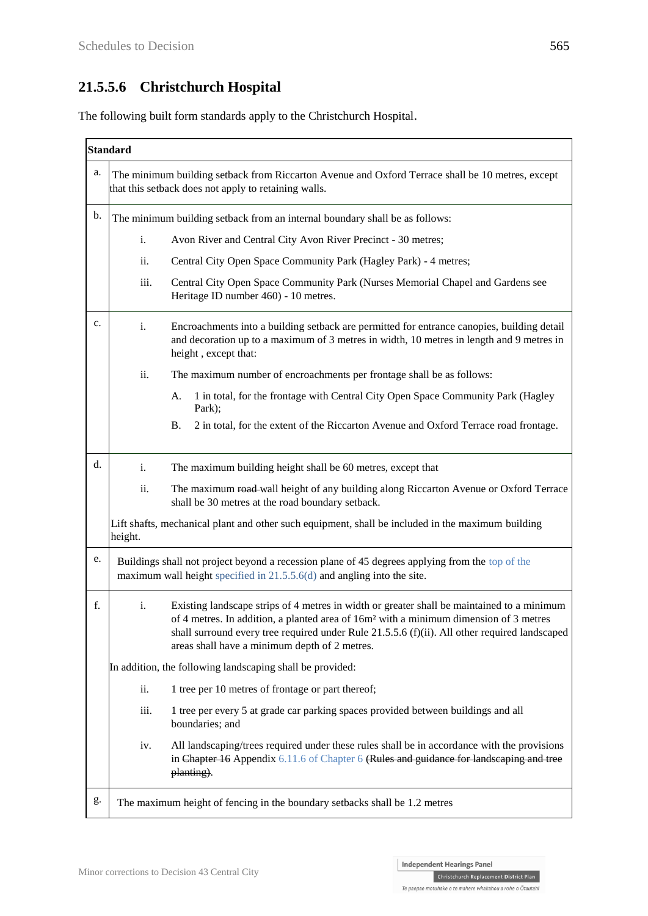## **21.5.5.6 Christchurch Hospital**

The following built form standards apply to the Christchurch Hospital.

|                                                                                                              | <b>Standard</b>                                                                                                                                                            |                                                                                                                                                                                                                                                                                                                                                   |  |  |
|--------------------------------------------------------------------------------------------------------------|----------------------------------------------------------------------------------------------------------------------------------------------------------------------------|---------------------------------------------------------------------------------------------------------------------------------------------------------------------------------------------------------------------------------------------------------------------------------------------------------------------------------------------------|--|--|
| a.                                                                                                           | The minimum building setback from Riccarton Avenue and Oxford Terrace shall be 10 metres, except<br>that this setback does not apply to retaining walls.                   |                                                                                                                                                                                                                                                                                                                                                   |  |  |
| b.<br>The minimum building setback from an internal boundary shall be as follows:                            |                                                                                                                                                                            |                                                                                                                                                                                                                                                                                                                                                   |  |  |
|                                                                                                              | i.                                                                                                                                                                         | Avon River and Central City Avon River Precinct - 30 metres;                                                                                                                                                                                                                                                                                      |  |  |
|                                                                                                              | ii.                                                                                                                                                                        | Central City Open Space Community Park (Hagley Park) - 4 metres;                                                                                                                                                                                                                                                                                  |  |  |
|                                                                                                              | iii.                                                                                                                                                                       | Central City Open Space Community Park (Nurses Memorial Chapel and Gardens see<br>Heritage ID number 460) - 10 metres.                                                                                                                                                                                                                            |  |  |
| c.                                                                                                           | i.                                                                                                                                                                         | Encroachments into a building setback are permitted for entrance canopies, building detail<br>and decoration up to a maximum of 3 metres in width, 10 metres in length and 9 metres in<br>height, except that:                                                                                                                                    |  |  |
|                                                                                                              | ii.                                                                                                                                                                        | The maximum number of encroachments per frontage shall be as follows:                                                                                                                                                                                                                                                                             |  |  |
|                                                                                                              |                                                                                                                                                                            | 1 in total, for the frontage with Central City Open Space Community Park (Hagley<br>A.<br>Park);                                                                                                                                                                                                                                                  |  |  |
|                                                                                                              |                                                                                                                                                                            | 2 in total, for the extent of the Riccarton Avenue and Oxford Terrace road frontage.<br><b>B.</b>                                                                                                                                                                                                                                                 |  |  |
| d.                                                                                                           | i.                                                                                                                                                                         | The maximum building height shall be 60 metres, except that                                                                                                                                                                                                                                                                                       |  |  |
| ii.<br>shall be 30 metres at the road boundary setback.                                                      |                                                                                                                                                                            | The maximum road-wall height of any building along Riccarton Avenue or Oxford Terrace                                                                                                                                                                                                                                                             |  |  |
| Lift shafts, mechanical plant and other such equipment, shall be included in the maximum building<br>height. |                                                                                                                                                                            |                                                                                                                                                                                                                                                                                                                                                   |  |  |
| e.                                                                                                           | Buildings shall not project beyond a recession plane of 45 degrees applying from the top of the<br>maximum wall height specified in 21.5.5.6(d) and angling into the site. |                                                                                                                                                                                                                                                                                                                                                   |  |  |
| f.<br>i.                                                                                                     |                                                                                                                                                                            | Existing landscape strips of 4 metres in width or greater shall be maintained to a minimum<br>of 4 metres. In addition, a planted area of 16m <sup>2</sup> with a minimum dimension of 3 metres<br>shall surround every tree required under Rule 21.5.5.6 (f)(ii). All other required landscaped<br>areas shall have a minimum depth of 2 metres. |  |  |
|                                                                                                              | In addition, the following landscaping shall be provided:                                                                                                                  |                                                                                                                                                                                                                                                                                                                                                   |  |  |
| ii.<br>1 tree per 10 metres of frontage or part thereof;                                                     |                                                                                                                                                                            |                                                                                                                                                                                                                                                                                                                                                   |  |  |
|                                                                                                              | iii.                                                                                                                                                                       | 1 tree per every 5 at grade car parking spaces provided between buildings and all<br>boundaries; and                                                                                                                                                                                                                                              |  |  |
|                                                                                                              | iv.                                                                                                                                                                        | All landscaping/trees required under these rules shall be in accordance with the provisions<br>in Chapter 16 Appendix 6.11.6 of Chapter 6 (Rules and guidance for landscaping and tree<br>planting).                                                                                                                                              |  |  |
| g.                                                                                                           | The maximum height of fencing in the boundary setbacks shall be 1.2 metres                                                                                                 |                                                                                                                                                                                                                                                                                                                                                   |  |  |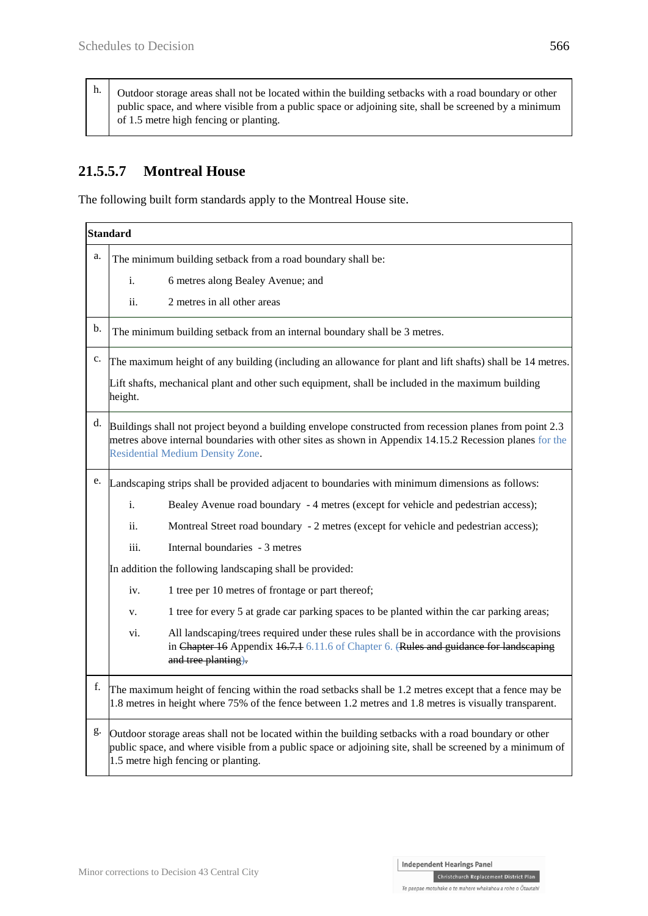h. Outdoor storage areas shall not be located within the building setbacks with a road boundary or other public space, and where visible from a public space or adjoining site, shall be screened by a minimum of 1.5 metre high fencing or planting.

## **21.5.5.7 Montreal House**

The following built form standards apply to the Montreal House site.

|    | <b>Standard</b>                                                                                                                                                                                                                                               |  |  |  |
|----|---------------------------------------------------------------------------------------------------------------------------------------------------------------------------------------------------------------------------------------------------------------|--|--|--|
| a. | The minimum building setback from a road boundary shall be:                                                                                                                                                                                                   |  |  |  |
|    | 6 metres along Bealey Avenue; and<br>i.                                                                                                                                                                                                                       |  |  |  |
|    | ii.<br>2 metres in all other areas                                                                                                                                                                                                                            |  |  |  |
| b. | The minimum building setback from an internal boundary shall be 3 metres.                                                                                                                                                                                     |  |  |  |
| c. | The maximum height of any building (including an allowance for plant and lift shafts) shall be 14 metres.<br>Lift shafts, mechanical plant and other such equipment, shall be included in the maximum building<br>height.                                     |  |  |  |
| d. | Buildings shall not project beyond a building envelope constructed from recession planes from point 2.3<br>metres above internal boundaries with other sites as shown in Appendix 14.15.2 Recession planes for the<br><b>Residential Medium Density Zone.</b> |  |  |  |
| e. | Landscaping strips shall be provided adjacent to boundaries with minimum dimensions as follows:                                                                                                                                                               |  |  |  |
|    | i.<br>Bealey Avenue road boundary - 4 metres (except for vehicle and pedestrian access);                                                                                                                                                                      |  |  |  |
|    | ii.<br>Montreal Street road boundary - 2 metres (except for vehicle and pedestrian access);                                                                                                                                                                   |  |  |  |
|    | iii.<br>Internal boundaries - 3 metres                                                                                                                                                                                                                        |  |  |  |
|    | In addition the following landscaping shall be provided:                                                                                                                                                                                                      |  |  |  |
|    | 1 tree per 10 metres of frontage or part thereof;<br>iv.                                                                                                                                                                                                      |  |  |  |
|    | 1 tree for every 5 at grade car parking spaces to be planted within the car parking areas;<br>v.                                                                                                                                                              |  |  |  |
|    | All landscaping/trees required under these rules shall be in accordance with the provisions<br>vi.<br>in Chapter 16 Appendix 16.7.1 6.11.6 of Chapter 6. (Rules and guidance for landscaping<br>and tree planting).                                           |  |  |  |
| f. | The maximum height of fencing within the road setbacks shall be 1.2 metres except that a fence may be<br>1.8 metres in height where 75% of the fence between 1.2 metres and 1.8 metres is visually transparent.                                               |  |  |  |
| g. | Outdoor storage areas shall not be located within the building setbacks with a road boundary or other<br>public space, and where visible from a public space or adjoining site, shall be screened by a minimum of<br>1.5 metre high fencing or planting.      |  |  |  |

Christchurch Replacement District Plan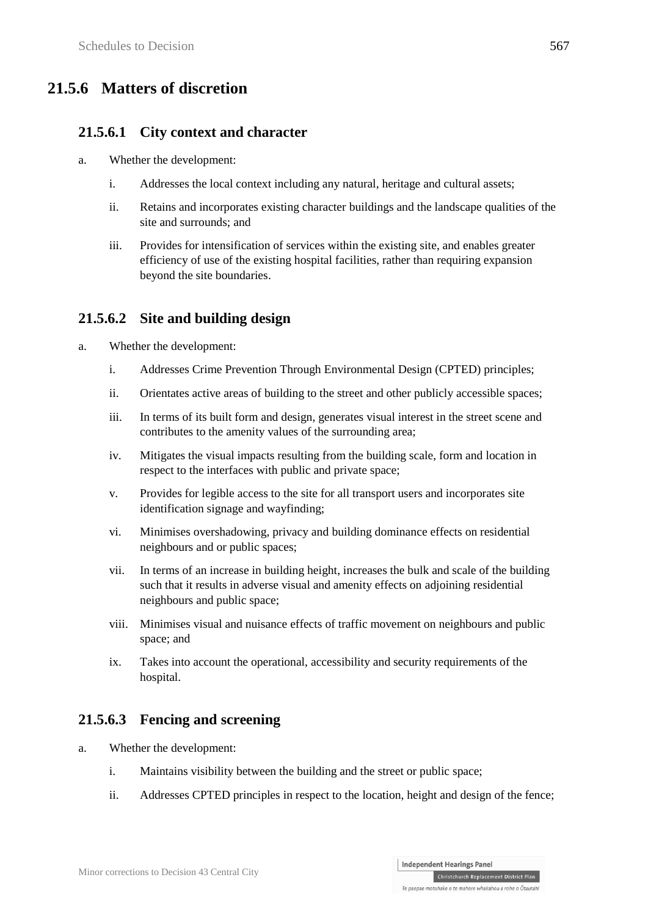# **21.5.6 Matters of discretion**

#### **21.5.6.1 City context and character**

- a. Whether the development:
	- i. Addresses the local context including any natural, heritage and cultural assets;
	- ii. Retains and incorporates existing character buildings and the landscape qualities of the site and surrounds; and
	- iii. Provides for intensification of services within the existing site, and enables greater efficiency of use of the existing hospital facilities, rather than requiring expansion beyond the site boundaries.

### **21.5.6.2 Site and building design**

- a. Whether the development:
	- i. Addresses Crime Prevention Through Environmental Design (CPTED) principles;
	- ii. Orientates active areas of building to the street and other publicly accessible spaces;
	- iii. In terms of its built form and design, generates visual interest in the street scene and contributes to the amenity values of the surrounding area;
	- iv. Mitigates the visual impacts resulting from the building scale, form and location in respect to the interfaces with public and private space;
	- v. Provides for legible access to the site for all transport users and incorporates site identification signage and wayfinding;
	- vi. Minimises overshadowing, privacy and building dominance effects on residential neighbours and or public spaces;
	- vii. In terms of an increase in building height, increases the bulk and scale of the building such that it results in adverse visual and amenity effects on adjoining residential neighbours and public space;
	- viii. Minimises visual and nuisance effects of traffic movement on neighbours and public space; and
	- ix. Takes into account the operational, accessibility and security requirements of the hospital.

### **21.5.6.3 Fencing and screening**

- a. Whether the development:
	- i. Maintains visibility between the building and the street or public space;
	- ii. Addresses CPTED principles in respect to the location, height and design of the fence;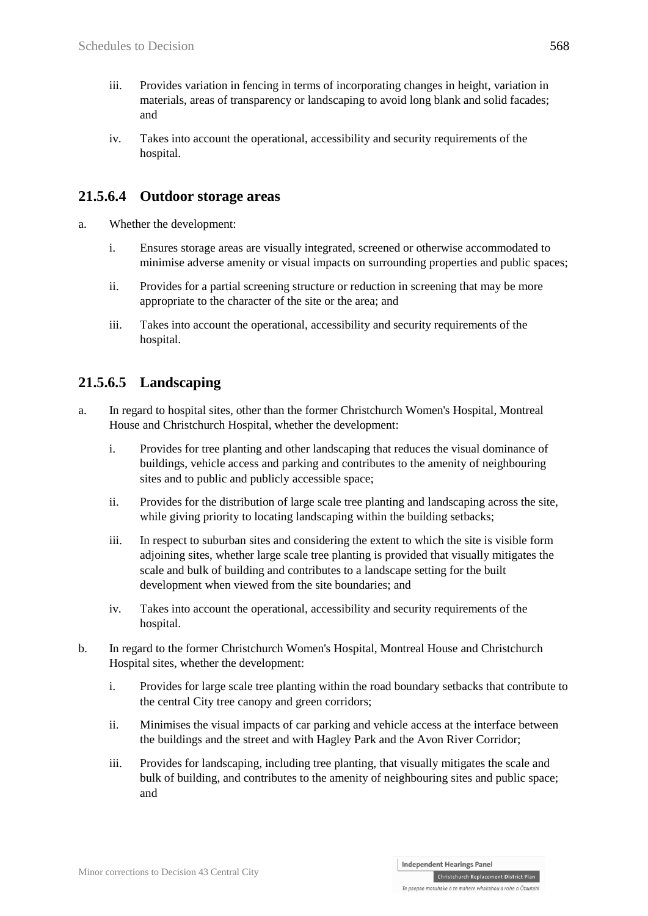- iii. Provides variation in fencing in terms of incorporating changes in height, variation in materials, areas of transparency or landscaping to avoid long blank and solid facades; and
- iv. Takes into account the operational, accessibility and security requirements of the hospital.

### **21.5.6.4 Outdoor storage areas**

- a. Whether the development:
	- i. Ensures storage areas are visually integrated, screened or otherwise accommodated to minimise adverse amenity or visual impacts on surrounding properties and public spaces;
	- ii. Provides for a partial screening structure or reduction in screening that may be more appropriate to the character of the site or the area; and
	- iii. Takes into account the operational, accessibility and security requirements of the hospital.

### **21.5.6.5 Landscaping**

- a. In regard to hospital sites, other than the former Christchurch Women's Hospital, Montreal House and Christchurch Hospital, whether the development:
	- i. Provides for tree planting and other landscaping that reduces the visual dominance of buildings, vehicle access and parking and contributes to the amenity of neighbouring sites and to public and publicly accessible space;
	- ii. Provides for the distribution of large scale tree planting and landscaping across the site, while giving priority to locating landscaping within the building setbacks;
	- iii. In respect to suburban sites and considering the extent to which the site is visible form adjoining sites, whether large scale tree planting is provided that visually mitigates the scale and bulk of building and contributes to a landscape setting for the built development when viewed from the site boundaries; and
	- iv. Takes into account the operational, accessibility and security requirements of the hospital.
- b. In regard to the former Christchurch Women's Hospital, Montreal House and Christchurch Hospital sites, whether the development:
	- i. Provides for large scale tree planting within the road boundary setbacks that contribute to the central City tree canopy and green corridors;
	- ii. Minimises the visual impacts of car parking and vehicle access at the interface between the buildings and the street and with Hagley Park and the Avon River Corridor;
	- iii. Provides for landscaping, including tree planting, that visually mitigates the scale and bulk of building, and contributes to the amenity of neighbouring sites and public space; and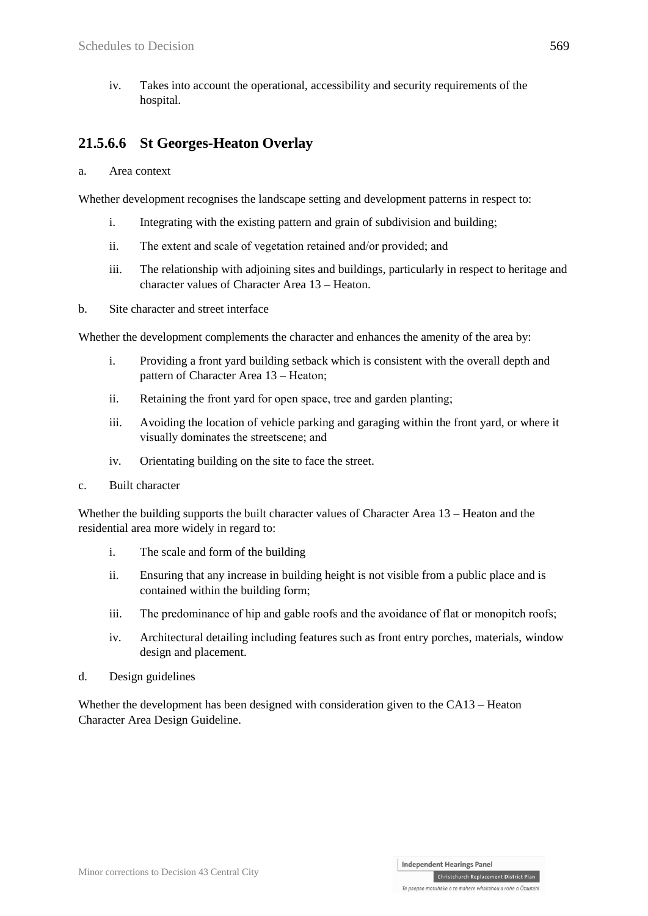iv. Takes into account the operational, accessibility and security requirements of the hospital.

### **21.5.6.6 St Georges-Heaton Overlay**

a. Area context

Whether development recognises the landscape setting and development patterns in respect to:

- i. Integrating with the existing pattern and grain of subdivision and building;
- ii. The extent and scale of vegetation retained and/or provided; and
- iii. The relationship with adjoining sites and buildings, particularly in respect to heritage and character values of Character Area 13 – Heaton.
- b. Site character and street interface

Whether the development complements the character and enhances the amenity of the area by:

- i. Providing a front yard building setback which is consistent with the overall depth and pattern of Character Area 13 – Heaton;
- ii. Retaining the front yard for open space, tree and garden planting;
- iii. Avoiding the location of vehicle parking and garaging within the front yard, or where it visually dominates the streetscene; and
- iv. Orientating building on the site to face the street.
- c. Built character

Whether the building supports the built character values of Character Area 13 – Heaton and the residential area more widely in regard to:

- i. The scale and form of the building
- ii. Ensuring that any increase in building height is not visible from a public place and is contained within the building form;
- iii. The predominance of hip and gable roofs and the avoidance of flat or monopitch roofs;
- iv. Architectural detailing including features such as front entry porches, materials, window design and placement.
- d. Design guidelines

Whether the development has been designed with consideration given to the CA13 – Heaton Character Area Design Guideline.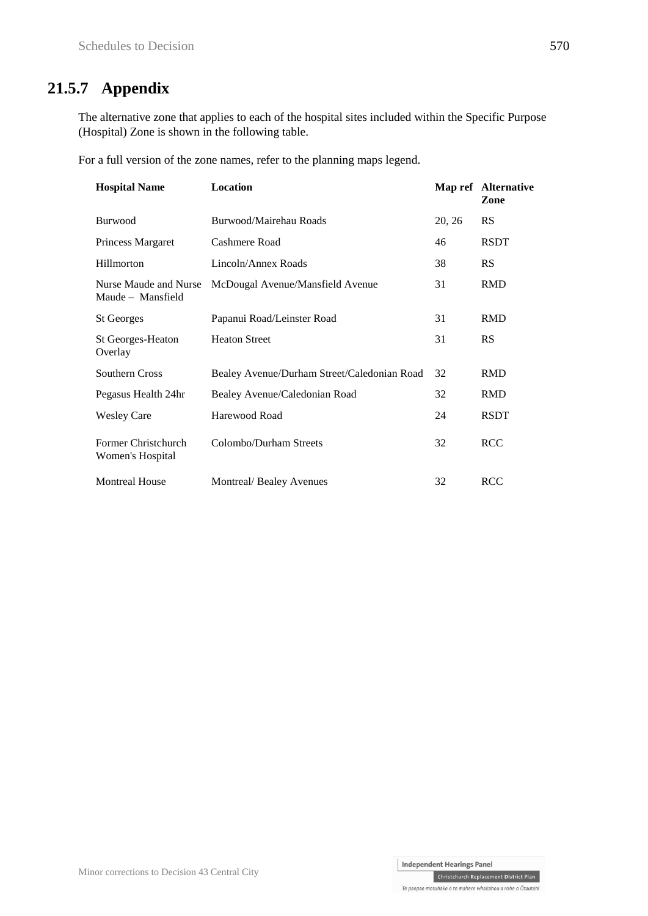# **21.5.7 Appendix**

The alternative zone that applies to each of the hospital sites included within the Specific Purpose (Hospital) Zone is shown in the following table.

For a full version of the zone names, refer to the planning maps legend.

| <b>Hospital Name</b>                       | Location                                    |        | Map ref Alternative<br>Zone |
|--------------------------------------------|---------------------------------------------|--------|-----------------------------|
| <b>Burwood</b>                             | Burwood/Mairehau Roads                      | 20, 26 | <b>RS</b>                   |
| Princess Margaret                          | Cashmere Road                               | 46     | <b>RSDT</b>                 |
| Hillmorton                                 | Lincoln/Annex Roads                         | 38     | RS                          |
| Nurse Maude and Nurse<br>Maude - Mansfield | McDougal Avenue/Mansfield Avenue            | 31     | <b>RMD</b>                  |
| <b>St Georges</b>                          | Papanui Road/Leinster Road                  | 31     | <b>RMD</b>                  |
| <b>St Georges-Heaton</b><br>Overlay        | <b>Heaton Street</b>                        | 31     | RS                          |
| Southern Cross                             | Bealey Avenue/Durham Street/Caledonian Road | 32     | <b>RMD</b>                  |
| Pegasus Health 24hr                        | Bealey Avenue/Caledonian Road               | 32     | <b>RMD</b>                  |
| <b>Wesley Care</b>                         | Harewood Road                               | 24     | <b>RSDT</b>                 |
| Former Christchurch<br>Women's Hospital    | Colombo/Durham Streets                      | 32     | <b>RCC</b>                  |
| <b>Montreal House</b>                      | Montreal/Bealey Avenues                     | 32     | <b>RCC</b>                  |